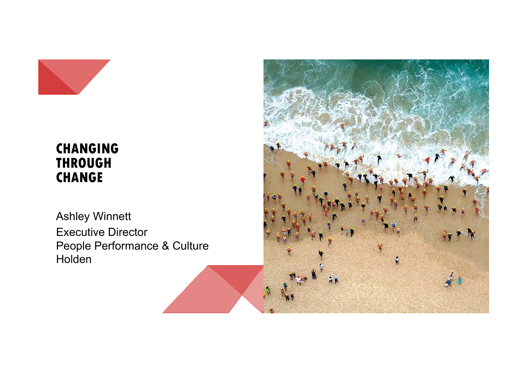

### **CHANGING THROUGH CHANGE**

Ashley Winnett Executive Director People Performance & Culture Holden

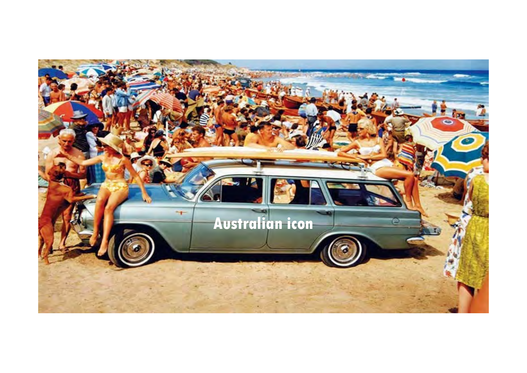![](_page_1_Picture_0.jpeg)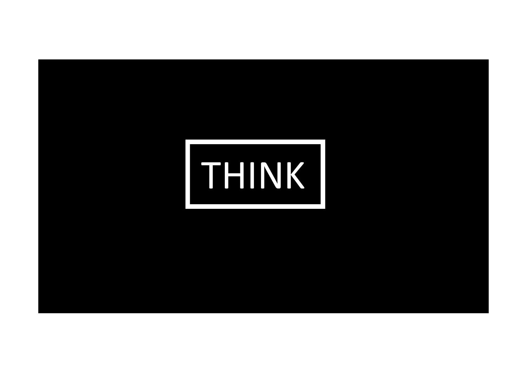![](_page_2_Picture_0.jpeg)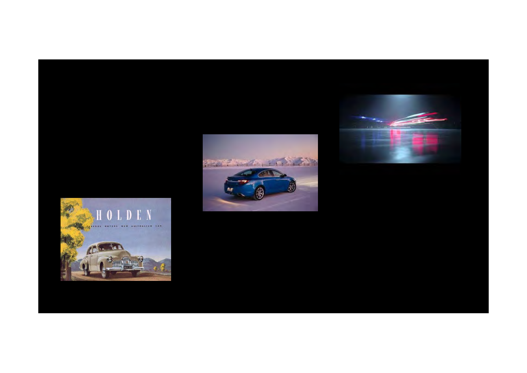![](_page_3_Picture_0.jpeg)

![](_page_3_Picture_1.jpeg)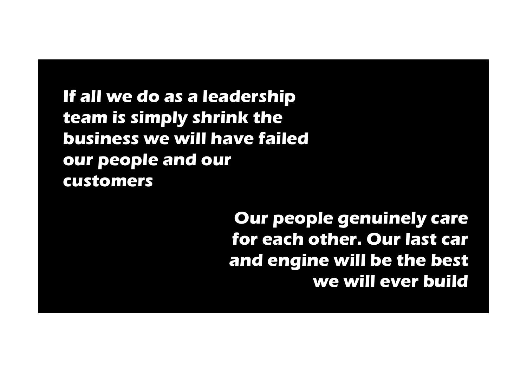**If all we do as a leadership team is simply shrink the business we will have failed our people and our customers** 

> **Our people genuinely care for each other. Our last car and engine will be the best we will ever build**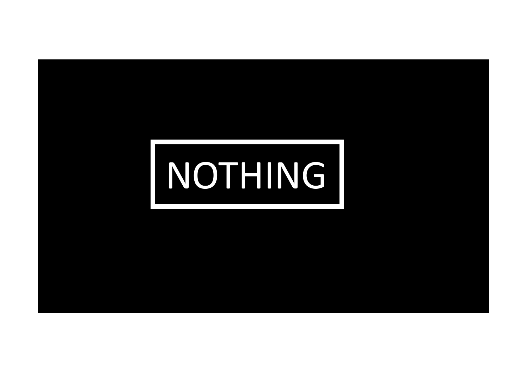![](_page_5_Picture_0.jpeg)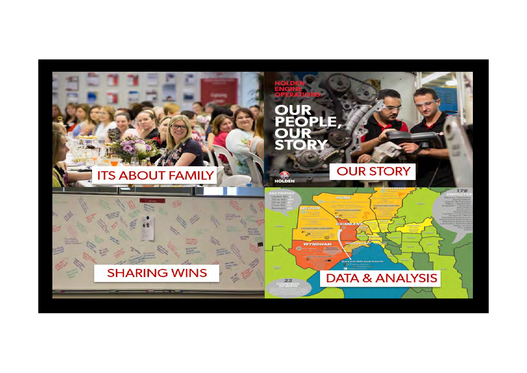![](_page_6_Picture_0.jpeg)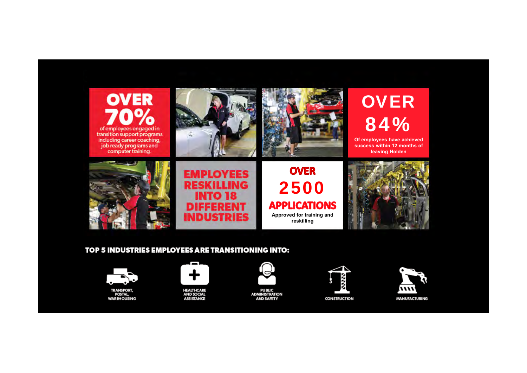![](_page_7_Picture_0.jpeg)

#### TOP 5 INDUSTRIES EMPLOYEES ARE TRANSITIONING INTO:

![](_page_7_Picture_2.jpeg)

TRANSPORT,<br>POSTAL,<br>WAREHOUSING

![](_page_7_Picture_4.jpeg)

HEALTHCARE<br>AND SOCIAL<br>ASSISTANCE

![](_page_7_Picture_6.jpeg)

PUBLIC<br>ADMINISTRATION<br>AND SAFETY

![](_page_7_Picture_8.jpeg)

**CONSTRUCTION** 

![](_page_7_Picture_10.jpeg)

**MANUFACTURING**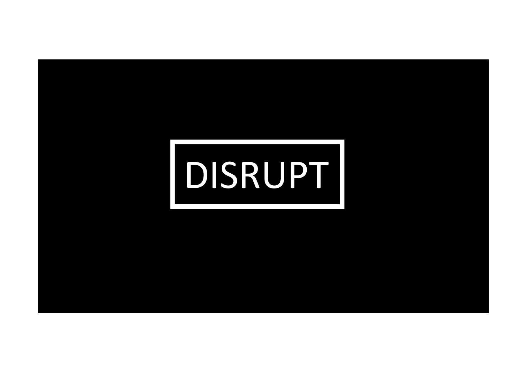![](_page_8_Picture_0.jpeg)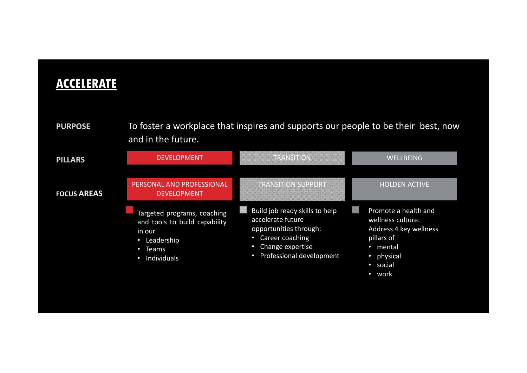#### **ACCELERATE**

To foster <sup>a</sup> workplace that inspires and supports our people to be their best, now and in the future. **PURPOSE**

| <b>PILLARS</b>     | <b>DEVELOPMENT</b>                                                                                                                                  | <b>TRANSITION</b>                                                                                                                                | <b>WELLBEING</b>                                                                                                                                    |
|--------------------|-----------------------------------------------------------------------------------------------------------------------------------------------------|--------------------------------------------------------------------------------------------------------------------------------------------------|-----------------------------------------------------------------------------------------------------------------------------------------------------|
| <b>FOCUS AREAS</b> | PERSONAL AND PROFESSIONAL<br><b>DEVELOPMENT</b>                                                                                                     | <b>TRANSITION SUPPORT</b>                                                                                                                        | <b>HOLDEN ACTIVE</b>                                                                                                                                |
|                    | Targeted programs, coaching<br>and tools to build capability<br>in our<br>Leadership<br>$\bullet$<br>Teams<br>$\bullet$<br>Individuals<br>$\bullet$ | Build job ready skills to help<br>accelerate future<br>opportunities through:<br>Career coaching<br>Change expertise<br>Professional development | Promote a health and<br>wellness culture.<br>Address 4 key wellness<br>pillars of<br>mental<br>$\bullet$<br>physical<br>social<br>$\bullet$<br>work |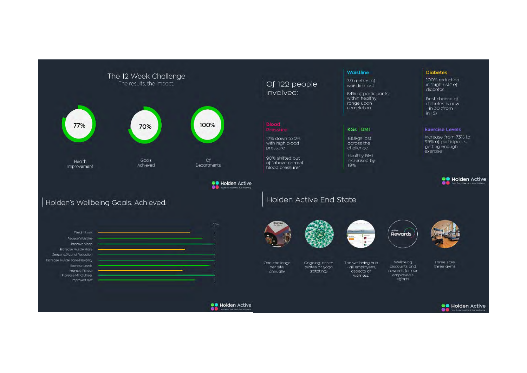![](_page_10_Figure_0.jpeg)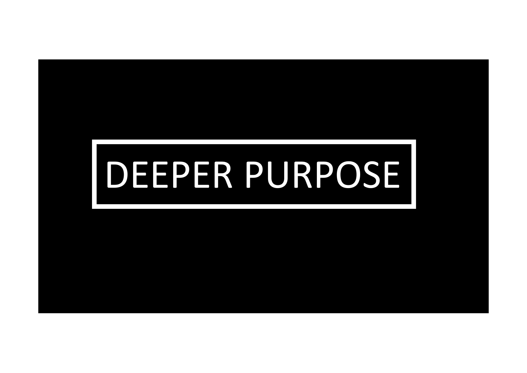## DEEPER PURPOSE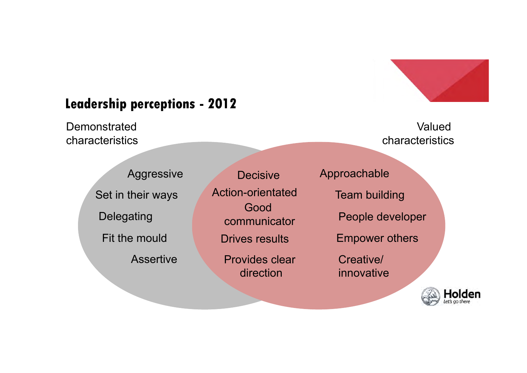![](_page_12_Picture_0.jpeg)

Valued

characteristics

#### **Leadership perceptions - 2012**

**Demonstrated** characteristics

> Fit the mouldAssertiveAggressive Set in their ways Delegating

Drives resultsGood communicatorAction-orientated **Decisive** 

> Provides clear direction

Approachable

Team building

People developer

Empower others

Creative/innovative

> Holden et's no there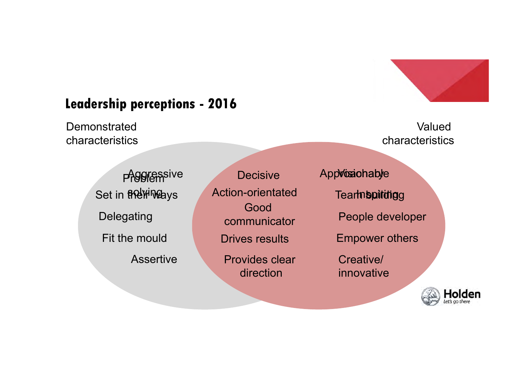![](_page_13_Picture_0.jpeg)

#### **Leadership perceptions - 2016**

**Demonstrated** characteristics

> Fit the mouldAssertivePr**agressive** Set in <del>the W</del>ilways Delegating

Drives resultsGood communicatorAction-orientated **Decisive** 

Provides clear direction

Valued characteristics

e App**vosiohabl**e

Tear**m spiridig**g

People developer

Empower others

Creative/innovative

> Holden et's on there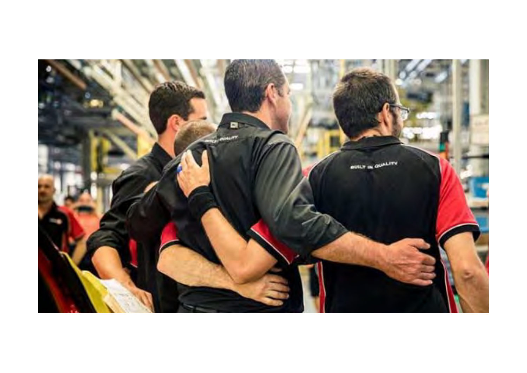![](_page_14_Picture_0.jpeg)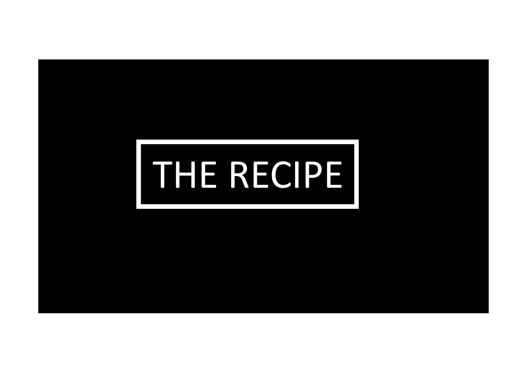# THE RECIPE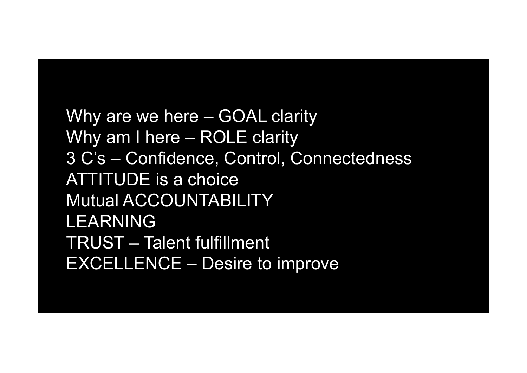Why are we here – GOAL clarity Why am I here – ROLE clarity 3 C's – Confidence, Control, Connectedness ATTITUDE is a choiceMutual ACCOUNTABILITY LEARNING TRUST – Talent fulfillment EXCELLENCE – Desire to improve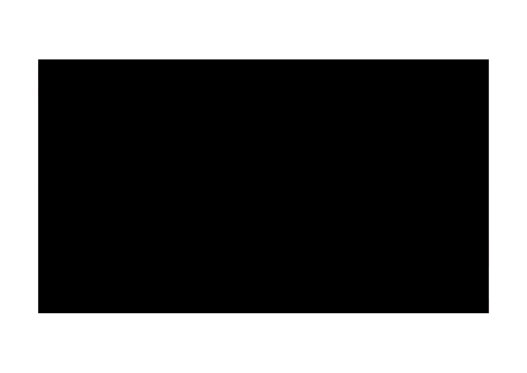![](_page_17_Picture_0.jpeg)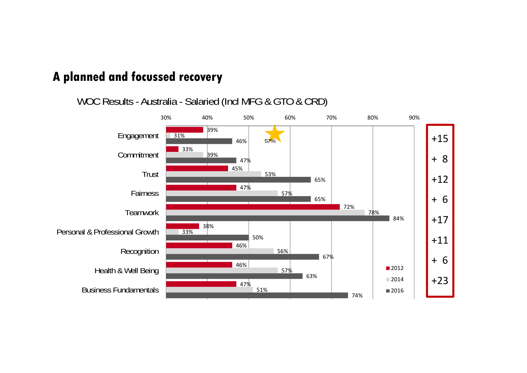#### **A planned and focussed recovery**

WOC Results - Australia - Salaried (Incl MFG & GTO & CRD)

![](_page_18_Figure_2.jpeg)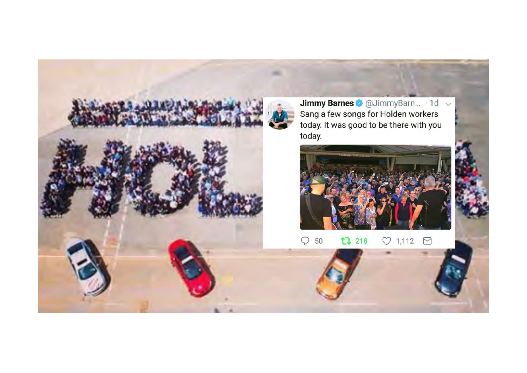![](_page_19_Picture_0.jpeg)

Jimmy Barnes @ @JimmyBarn... . 1d v Sang a few songs for Holden workers today. It was good to be there with you today.

![](_page_19_Picture_2.jpeg)

 $\circlearrowright$  1,112  $\quad \textcolor{red}{\odot}$ 

t7 218

 $\circ$  50